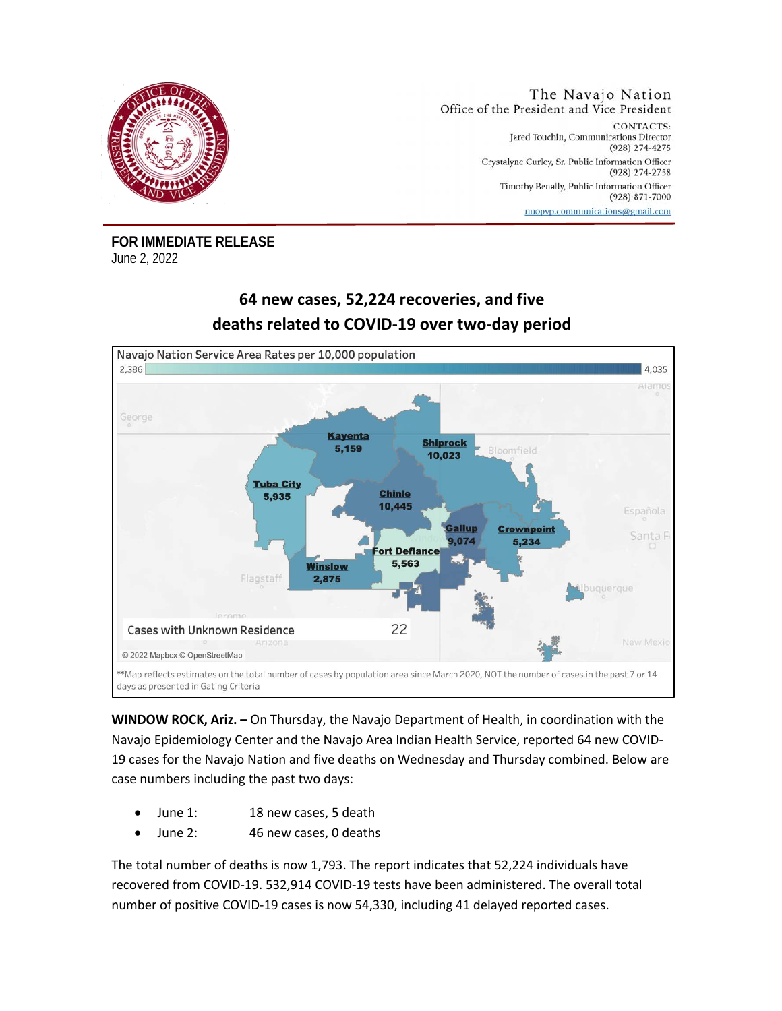

**FOR IMMEDIATE RELEASE**  June 2, 2022

## **64 new cases, 52,224 recoveries, and five deaths related to COVID-19 over two-day period**



**WINDOW ROCK, Ariz. –** On Thursday, the Navajo Department of Health, in coordination with the Navajo Epidemiology Center and the Navajo Area Indian Health Service, reported 64 new COVID-19 cases for the Navajo Nation and five deaths on Wednesday and Thursday combined. Below are case numbers including the past two days:

- June 1: 18 new cases, 5 death
- June 2: 46 new cases, 0 deaths

The total number of deaths is now 1,793. The report indicates that 52,224 individuals have recovered from COVID-19. 532,914 COVID-19 tests have been administered. The overall total number of positive COVID-19 cases is now 54,330, including 41 delayed reported cases.